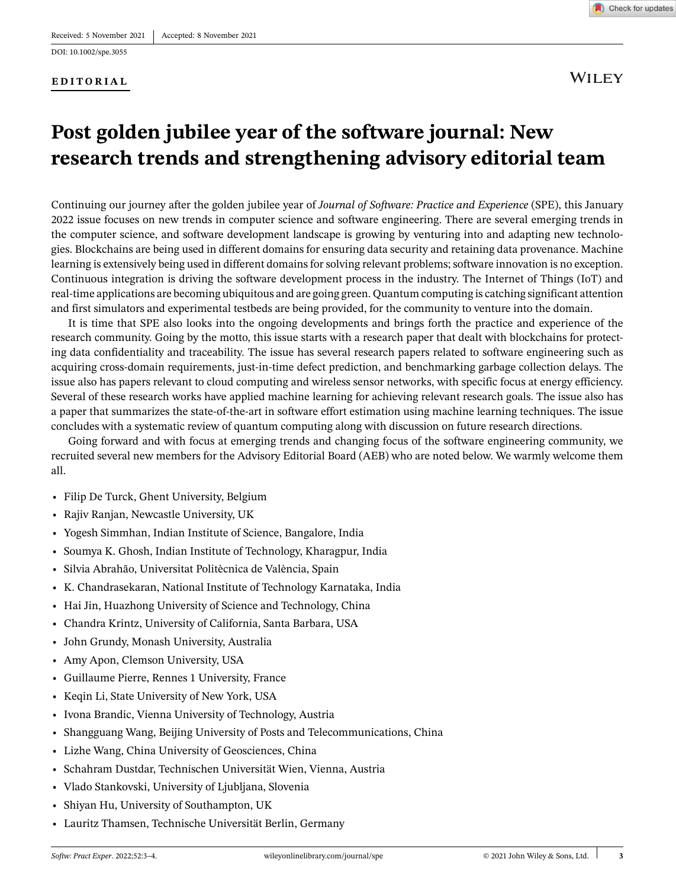#### **EDITORIAL**



**WILEY** 

# **Post golden jubilee year of the software journal: New research trends and strengthening advisory editorial team**

Continuing our journey after the golden jubilee year of *Journal of Software: Practice and Experience* (SPE), this January 2022 issue focuses on new trends in computer science and software engineering. There are several emerging trends in the computer science, and software development landscape is growing by venturing into and adapting new technologies. Blockchains are being used in different domains for ensuring data security and retaining data provenance. Machine learning is extensively being used in different domains for solving relevant problems; software innovation is no exception. Continuous integration is driving the software development process in the industry. The Internet of Things (IoT) and real-time applications are becoming ubiquitous and are going green. Quantum computing is catching significant attention and first simulators and experimental testbeds are being provided, for the community to venture into the domain.

It is time that SPE also looks into the ongoing developments and brings forth the practice and experience of the research community. Going by the motto, this issue starts with a research paper that dealt with blockchains for protecting data confidentiality and traceability. The issue has several research papers related to software engineering such as acquiring cross-domain requirements, just-in-time defect prediction, and benchmarking garbage collection delays. The issue also has papers relevant to cloud computing and wireless sensor networks, with specific focus at energy efficiency. Several of these research works have applied machine learning for achieving relevant research goals. The issue also has a paper that summarizes the state-of-the-art in software effort estimation using machine learning techniques. The issue concludes with a systematic review of quantum computing along with discussion on future research directions.

Going forward and with focus at emerging trends and changing focus of the software engineering community, we recruited several new members for the Advisory Editorial Board (AEB) who are noted below. We warmly welcome them all.

- **•** Filip De Turck, Ghent University, Belgium
- **•** Rajiv Ranjan, Newcastle University, UK
- **•** Yogesh Simmhan, Indian Institute of Science, Bangalore, India
- **•** Soumya K. Ghosh, Indian Institute of Technology, Kharagpur, India
- **•** Silvia Abrahão, Universitat Politècnica de València, Spain
- **•** K. Chandrasekaran, National Institute of Technology Karnataka, India
- **•** Hai Jin, Huazhong University of Science and Technology, China
- **•** Chandra Krintz, University of California, Santa Barbara, USA
- **•** John Grundy, Monash University, Australia
- **•** Amy Apon, Clemson University, USA
- **•** Guillaume Pierre, Rennes 1 University, France
- **•** Keqin Li, State University of New York, USA
- **•** Ivona Brandic, Vienna University of Technology, Austria
- **•** Shangguang Wang, Beijing University of Posts and Telecommunications, China
- **•** Lizhe Wang, China University of Geosciences, China
- **•** Schahram Dustdar, Technischen Universität Wien, Vienna, Austria
- **•** Vlado Stankovski, University of Ljubljana, Slovenia
- **•** Shiyan Hu, University of Southampton, UK
- **•** Lauritz Thamsen, Technische Universität Berlin, Germany